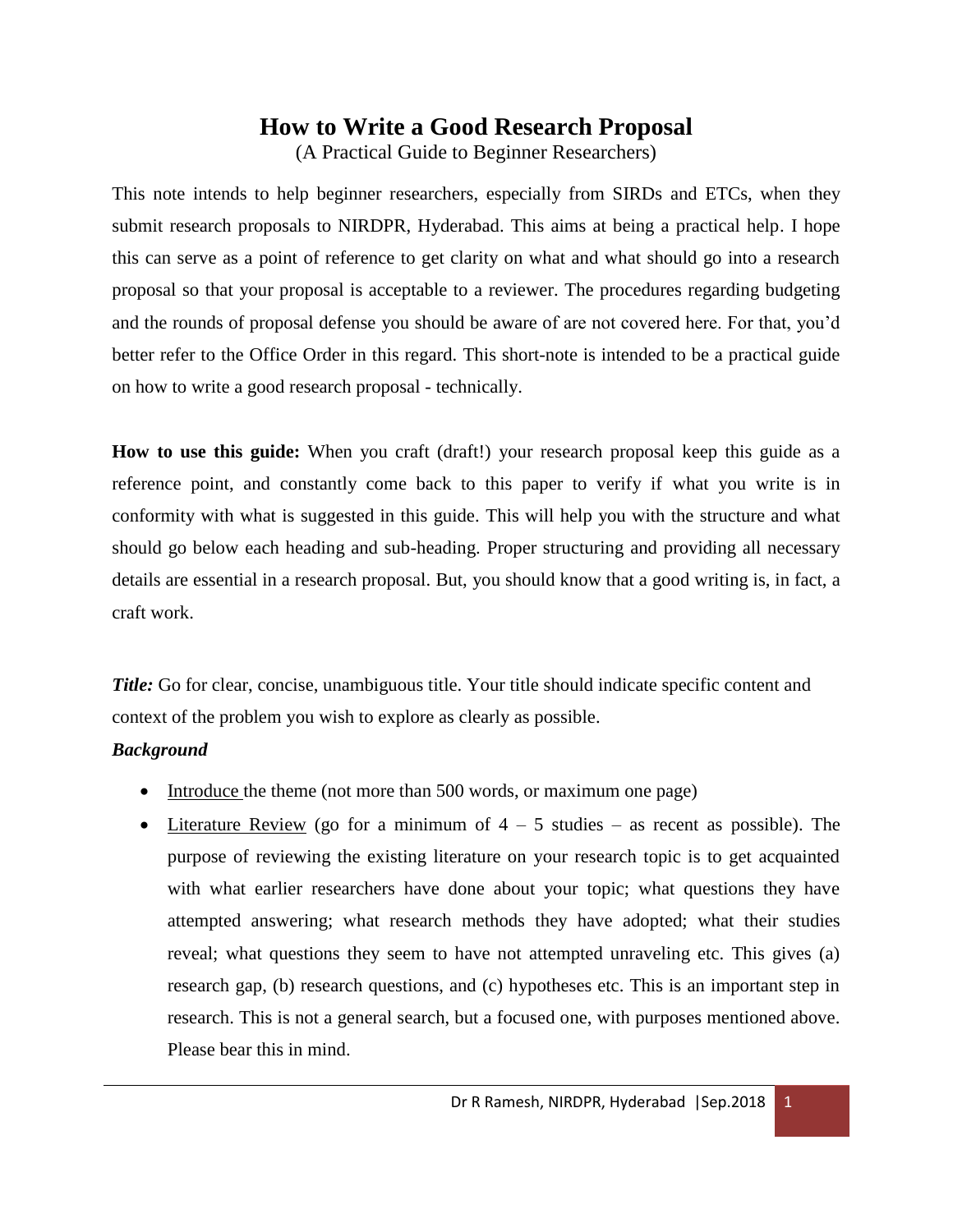# **How to Write a Good Research Proposal**

(A Practical Guide to Beginner Researchers)

This note intends to help beginner researchers, especially from SIRDs and ETCs, when they submit research proposals to NIRDPR, Hyderabad. This aims at being a practical help. I hope this can serve as a point of reference to get clarity on what and what should go into a research proposal so that your proposal is acceptable to a reviewer. The procedures regarding budgeting and the rounds of proposal defense you should be aware of are not covered here. For that, you'd better refer to the Office Order in this regard. This short-note is intended to be a practical guide on how to write a good research proposal - technically.

**How to use this guide:** When you craft (draft!) your research proposal keep this guide as a reference point, and constantly come back to this paper to verify if what you write is in conformity with what is suggested in this guide. This will help you with the structure and what should go below each heading and sub-heading. Proper structuring and providing all necessary details are essential in a research proposal. But, you should know that a good writing is, in fact, a craft work.

*Title:* Go for clear, concise, unambiguous title. Your title should indicate specific content and context of the problem you wish to explore as clearly as possible.

## *Background*

- Introduce the theme (not more than 500 words, or maximum one page)
- Literature Review (go for a minimum of  $4 5$  studies as recent as possible). The purpose of reviewing the existing literature on your research topic is to get acquainted with what earlier researchers have done about your topic; what questions they have attempted answering; what research methods they have adopted; what their studies reveal; what questions they seem to have not attempted unraveling etc. This gives (a) research gap, (b) research questions, and (c) hypotheses etc. This is an important step in research. This is not a general search, but a focused one, with purposes mentioned above. Please bear this in mind.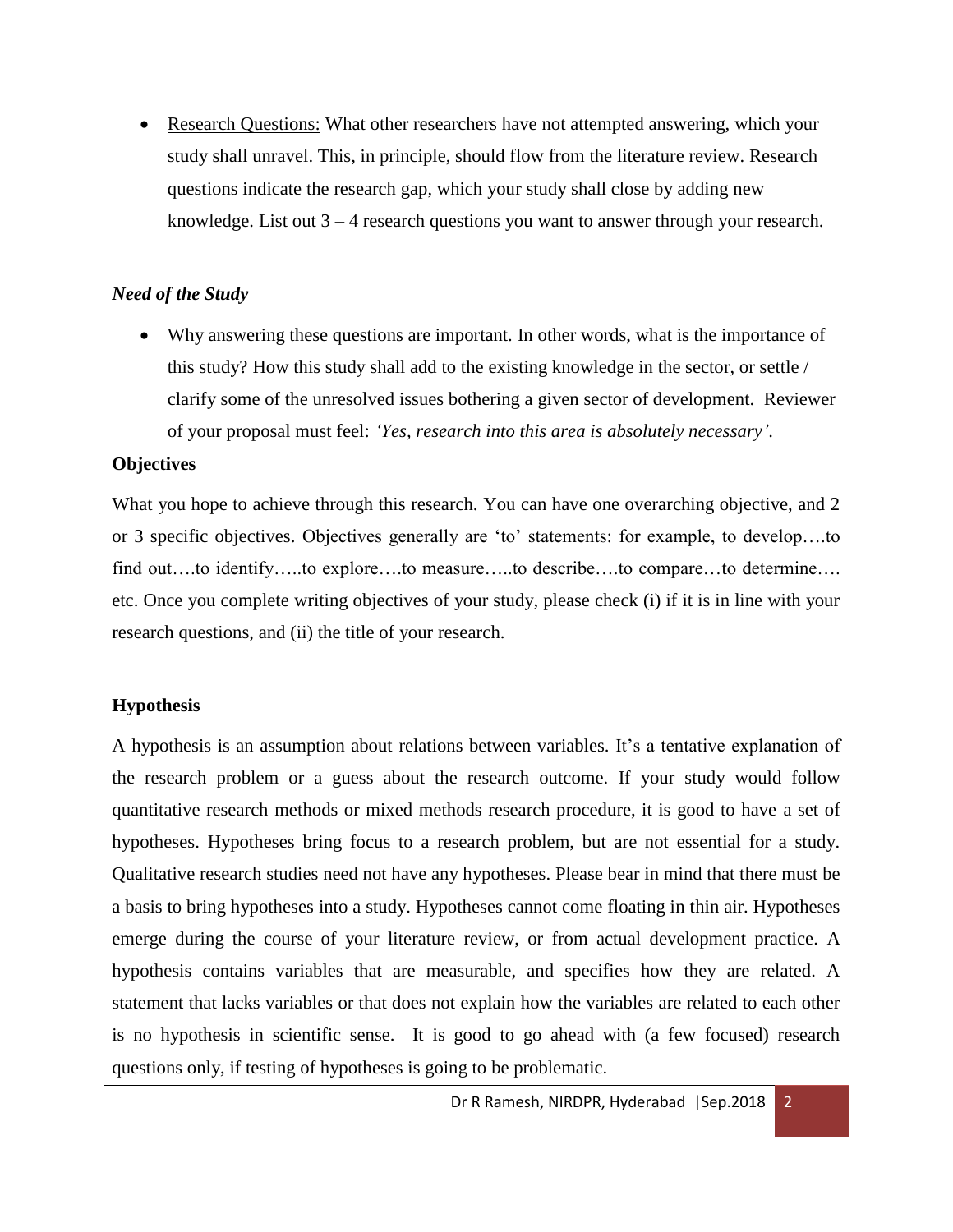Research Questions: What other researchers have not attempted answering, which your study shall unravel. This, in principle, should flow from the literature review. Research questions indicate the research gap, which your study shall close by adding new knowledge. List out 3 – 4 research questions you want to answer through your research.

#### *Need of the Study*

 Why answering these questions are important. In other words, what is the importance of this study? How this study shall add to the existing knowledge in the sector, or settle / clarify some of the unresolved issues bothering a given sector of development. Reviewer of your proposal must feel: *'Yes, research into this area is absolutely necessary'*.

#### **Objectives**

What you hope to achieve through this research. You can have one overarching objective, and 2 or 3 specific objectives. Objectives generally are 'to' statements: for example, to develop….to find out…to identify….to explore….to measure….to describe….to compare…to determine…. etc. Once you complete writing objectives of your study, please check (i) if it is in line with your research questions, and (ii) the title of your research.

### **Hypothesis**

A hypothesis is an assumption about relations between variables. It's a tentative explanation of the research problem or a guess about the research outcome. If your study would follow quantitative research methods or mixed methods research procedure, it is good to have a set of hypotheses. Hypotheses bring focus to a research problem, but are not essential for a study. Qualitative research studies need not have any hypotheses. Please bear in mind that there must be a basis to bring hypotheses into a study. Hypotheses cannot come floating in thin air. Hypotheses emerge during the course of your literature review, or from actual development practice. A hypothesis contains variables that are measurable, and specifies how they are related. A statement that lacks variables or that does not explain how the variables are related to each other is no hypothesis in scientific sense. It is good to go ahead with (a few focused) research questions only, if testing of hypotheses is going to be problematic.

Dr R Ramesh, NIRDPR, Hyderabad | Sep.2018 2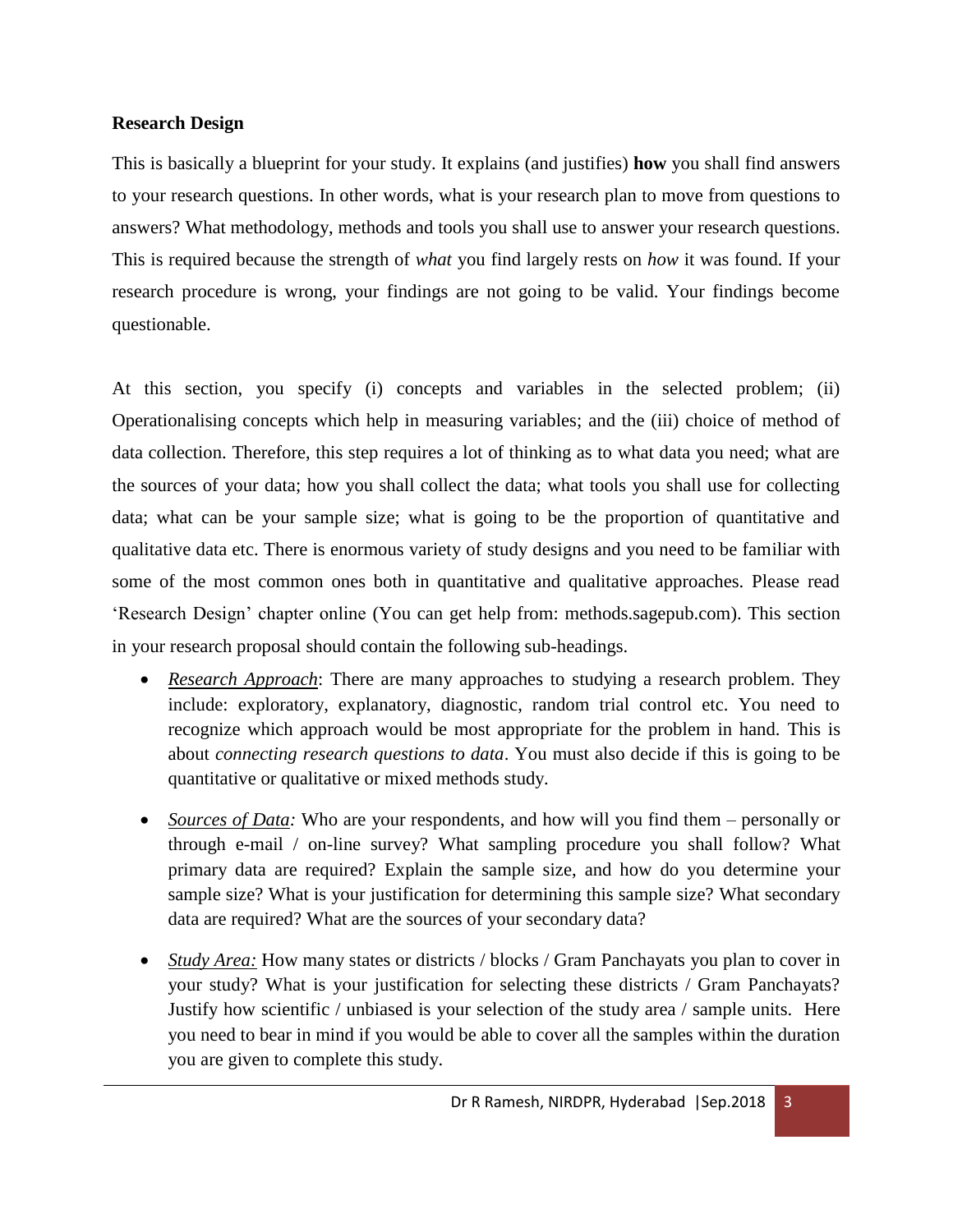### **Research Design**

This is basically a blueprint for your study. It explains (and justifies) **how** you shall find answers to your research questions. In other words, what is your research plan to move from questions to answers? What methodology, methods and tools you shall use to answer your research questions. This is required because the strength of *what* you find largely rests on *how* it was found. If your research procedure is wrong, your findings are not going to be valid. Your findings become questionable.

At this section, you specify (i) concepts and variables in the selected problem; (ii) Operationalising concepts which help in measuring variables; and the (iii) choice of method of data collection. Therefore, this step requires a lot of thinking as to what data you need; what are the sources of your data; how you shall collect the data; what tools you shall use for collecting data; what can be your sample size; what is going to be the proportion of quantitative and qualitative data etc. There is enormous variety of study designs and you need to be familiar with some of the most common ones both in quantitative and qualitative approaches. Please read 'Research Design' chapter online (You can get help from: methods.sagepub.com). This section in your research proposal should contain the following sub-headings.

- *Research Approach*: There are many approaches to studying a research problem. They include: exploratory, explanatory, diagnostic, random trial control etc. You need to recognize which approach would be most appropriate for the problem in hand. This is about *connecting research questions to data*. You must also decide if this is going to be quantitative or qualitative or mixed methods study.
- *Sources of Data:* Who are your respondents, and how will you find them personally or through e-mail / on-line survey? What sampling procedure you shall follow? What primary data are required? Explain the sample size, and how do you determine your sample size? What is your justification for determining this sample size? What secondary data are required? What are the sources of your secondary data?
- *Study Area:* How many states or districts / blocks / Gram Panchayats you plan to cover in your study? What is your justification for selecting these districts / Gram Panchayats? Justify how scientific / unbiased is your selection of the study area / sample units. Here you need to bear in mind if you would be able to cover all the samples within the duration you are given to complete this study.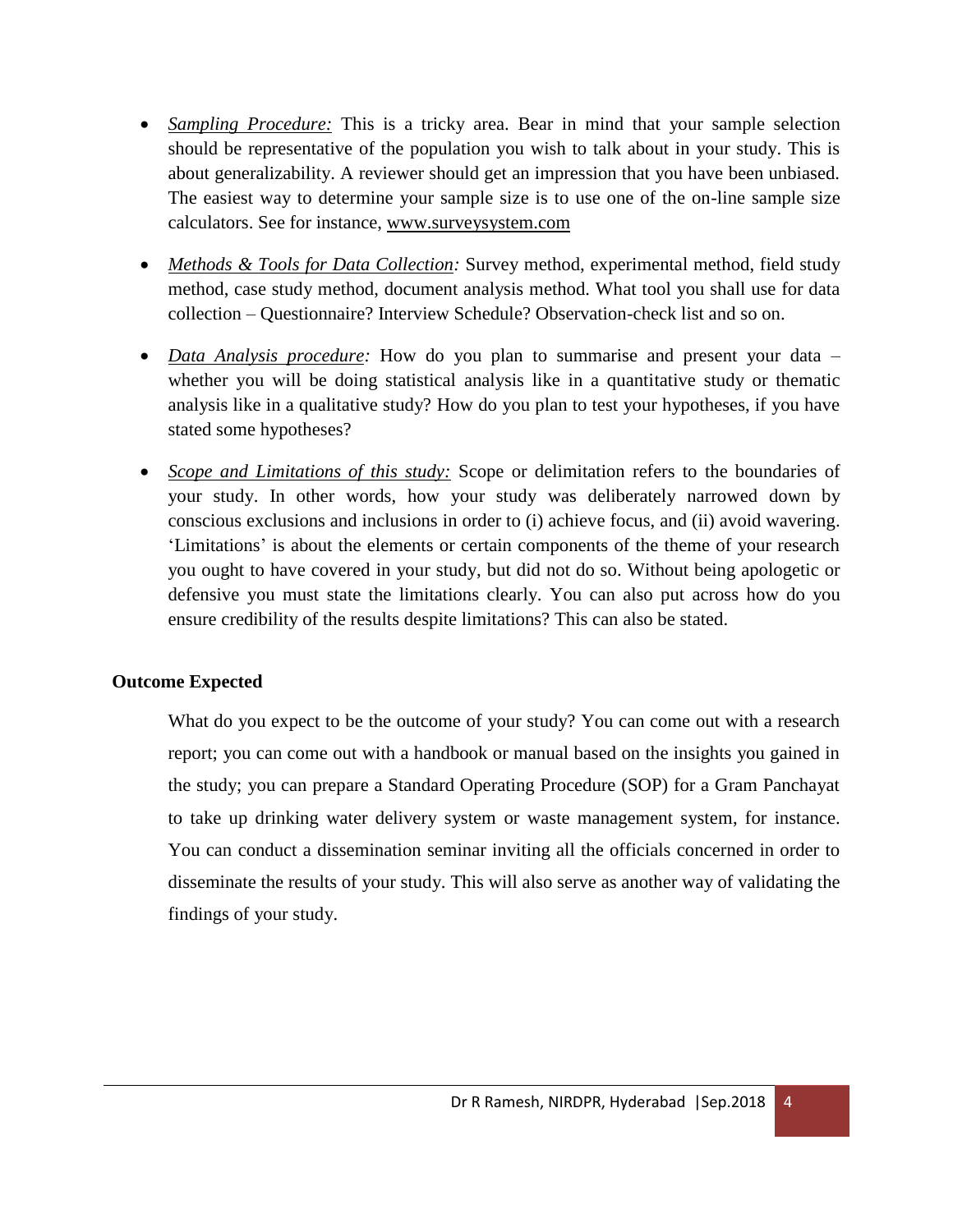- *Sampling Procedure:* This is a tricky area. Bear in mind that your sample selection should be representative of the population you wish to talk about in your study. This is about generalizability. A reviewer should get an impression that you have been unbiased. The easiest way to determine your sample size is to use one of the on-line sample size calculators. See for instance, [www.surveysystem.com](http://www.surveysystem.com/)
- *Methods & Tools for Data Collection:* Survey method, experimental method, field study method, case study method, document analysis method. What tool you shall use for data collection – Questionnaire? Interview Schedule? Observation-check list and so on.
- *Data Analysis procedure:* How do you plan to summarise and present your data whether you will be doing statistical analysis like in a quantitative study or thematic analysis like in a qualitative study? How do you plan to test your hypotheses, if you have stated some hypotheses?
- *Scope and Limitations of this study:* Scope or delimitation refers to the boundaries of your study. In other words, how your study was deliberately narrowed down by conscious exclusions and inclusions in order to (i) achieve focus, and (ii) avoid wavering. 'Limitations' is about the elements or certain components of the theme of your research you ought to have covered in your study, but did not do so. Without being apologetic or defensive you must state the limitations clearly. You can also put across how do you ensure credibility of the results despite limitations? This can also be stated.

### **Outcome Expected**

What do you expect to be the outcome of your study? You can come out with a research report; you can come out with a handbook or manual based on the insights you gained in the study; you can prepare a Standard Operating Procedure (SOP) for a Gram Panchayat to take up drinking water delivery system or waste management system, for instance. You can conduct a dissemination seminar inviting all the officials concerned in order to disseminate the results of your study. This will also serve as another way of validating the findings of your study.